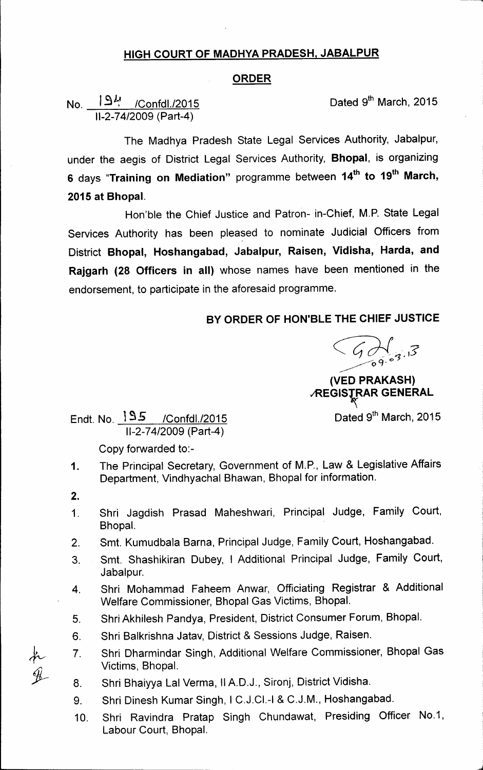## HIGH COURT OF MADHYA PRADESH, JABALPUR

## ORDER

No. *L9i1* /Confd1./2015 11-2-74/2009(Part-4)

Dated 9<sup>th</sup> March, 2015

The Madhya Pradesh State Legal Services Authority, Jabalpur, under the aegis of District Legal Services Authority, Bhopal, is organizing 6 days "Training on Mediation" programme between 14<sup>th</sup> to 19<sup>th</sup> March, 2015 at Bhopal.

Hon'ble the Chief Justice and Patron- in-Chief, M.P. State Legal Services Authority has been pleased to nominate Judicial Officers from District Bhopal, Hoshangabad, Jabalpur, Raisen, Vidisha, Harda, and Rajgarh (28 Officers in all) whose names have been mentioned in the endorsement, to participate in the aforesaid programme.

## BY ORDER OF HON'BLE THE CHIEF JUSTICE

 $\begin{array}{c} \begin{array}{c} \begin{array}{c} \end{array} \\ \begin{array}{c} \end{array} \\ \begin{array}{c} \end{array} \\ \begin{array}{c} \end{array} \end{array}$ 

(VED PRAKASH) **REGISTRAR GENERAL** 

Dated 9<sup>th</sup> March, 2015

Endt. No. <mark>]S.5 /Confdl./2015</mark> Dated 9<sup>th</sup> March, 2015 11-2-74/2009(Part-4)

Copy forwarded to:-

- The Principal Secretary, Government of M.P., Law & Legislative Affairs Department, Vindhyachal Bhawan, Bhopal for information. 1.
- 2.
- 1. Shri Jagdish Prasad Maheshwari, Principal Judge, Family Court, Bhopal.
- 2. Smt. Kumudbala Barna, Principal Judge, Family Court, Hoshangabad.
- 3. Smt. Shashikiran Dubey, I Additional Principal Judge, Family Court, Jabalpur.
- 4. Shri Mohammad Faheem Anwar, Officiating Registrar & Additional Welfare Commissioner, Bhopal Gas Victims, Bhopal.
- 5. Shri Akhilesh Pandya, President, District Consumer Forum, Bhopal.
- 6. Shri Balkrishna Jatav, District & Sessions Judge, Raisen.
- 7. Shri Dharmindar Singh, Additional Welfare Commissioner, Bhopal Gas Victims, Bhopal.
- Shri Bhaiyya Lal Verma, IIA.D.J., Sironj, District Vidisha.
- 9. Shri Dinesh Kumar Singh, I C.J.CI.-I & C.J.M., Hoshangabad.
- 10. Shri Ravindra Pratap Singh Chundawat, Presiding Officer NO.1, Labour Court, Bhopal.

 $\blacktriangleleft$  $\overline{\mathscr{L}}$  8.